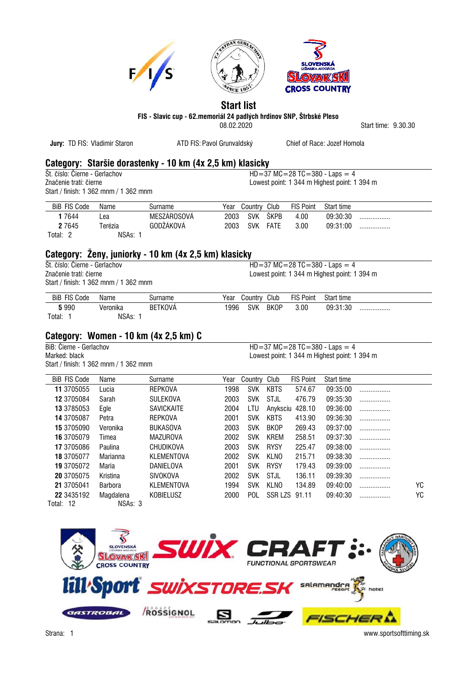

## **Start list**

**FIS - Slavic cup - 62.memoriál 24 padlých hrdinov SNP, Štrbské Pleso**

08.02.2020 Start time: 9.30.30

| Jury: TD FIS: Vladimir Staron         |                | ATD FIS: Pavol Grunvaldský                                |      |              |                 |                  | Chief of Race: Jozef Homola                  |         |     |
|---------------------------------------|----------------|-----------------------------------------------------------|------|--------------|-----------------|------------------|----------------------------------------------|---------|-----|
|                                       |                | Category: Staršie dorastenky - 10 km (4x 2,5 km) klasicky |      |              |                 |                  |                                              |         |     |
| Št. číslo: Čierne - Gerlachov         |                |                                                           |      |              |                 |                  | $HD = 37 MC = 28 TC = 380 - Laps = 4$        |         |     |
| Značenie tratí: čierne                |                |                                                           |      |              |                 |                  | Lowest point: 1 344 m Highest point: 1 394 m |         |     |
| Start / finish: 1 362 mnm / 1 362 mnm |                |                                                           |      |              |                 |                  |                                              |         |     |
| <b>BiB FIS Code</b>                   | Name           | Surname                                                   | Year | Country Club |                 | <b>FIS Point</b> | Start time                                   |         |     |
| 17644                                 | Lea            | MESZÁROSOVÁ                                               | 2003 | <b>SVK</b>   | ŠKPB            | 4.00             | 09:30:30                                     | .       |     |
| 2 7 6 4 5                             | Terézia        | GODŽÁKOVÁ                                                 | 2003 | <b>SVK</b>   | <b>FATE</b>     | 3.00             | 09:31:00                                     |         |     |
| Total: 2                              | NSAs: 1        |                                                           |      |              |                 |                  |                                              |         |     |
|                                       |                | Category: Żeny, juniorky - 10 km (4x 2,5 km) klasicky     |      |              |                 |                  |                                              |         |     |
| Št. číslo: Čierne - Gerlachov         |                |                                                           |      |              |                 |                  | $HD = 37 MC = 28 TC = 380 - Laps = 4$        |         |     |
| Značenie tratí: čierne                |                |                                                           |      |              |                 |                  | Lowest point: 1 344 m Highest point: 1 394 m |         |     |
| Start / finish: 1 362 mnm / 1 362 mnm |                |                                                           |      |              |                 |                  |                                              |         |     |
| <b>BiB FIS Code</b>                   | Name           | Surname                                                   | Year | Country Club |                 | <b>FIS Point</b> | Start time                                   |         |     |
| 5 9 9 0                               | Veronika       | <b>BETKOVÁ</b>                                            | 1996 | <b>SVK</b>   | <b>BKOP</b>     | 3.00             | 09:31:30                                     | .       |     |
| Total: 1                              | NSAs: 1        |                                                           |      |              |                 |                  |                                              |         |     |
|                                       |                | Category: Women - 10 km (4x 2,5 km) C                     |      |              |                 |                  |                                              |         |     |
| BiB: Čierne - Gerlachov               |                |                                                           |      |              |                 |                  | $HD = 37 MC = 28 TC = 380 - Laps = 4$        |         |     |
| Marked: black                         |                |                                                           |      |              |                 |                  | Lowest point: 1 344 m Highest point: 1 394 m |         |     |
| Start / finish: 1 362 mnm / 1 362 mnm |                |                                                           |      |              |                 |                  |                                              |         |     |
| <b>BiB FIS Code</b>                   | Name           | Surname                                                   | Year | Country      | Club            | <b>FIS Point</b> | Start time                                   |         |     |
| 11 3705055                            | Lucia          | <b>REPKOVA</b>                                            | 1998 | <b>SVK</b>   | <b>KBTS</b>     | 574.67           | 09:35:00                                     | .       |     |
| 12 3705084                            | Sarah          | SULEKOVA                                                  | 2003 | <b>SVK</b>   | STJL            | 476.79           | 09:35:30                                     | .       |     |
| 13 3785053                            | Egle           | SAVICKAITE                                                | 2004 | LTU          | Anyksciu 428.10 |                  | 09:36:00                                     | .       |     |
| 14 3705087                            | Petra          | <b>REPKOVA</b>                                            | 2001 | <b>SVK</b>   | <b>KBTS</b>     | 413.90           | 09:36:30                                     | .       |     |
| 15 3705090                            | Veronika       | <b>BUKASOVA</b>                                           | 2003 | <b>SVK</b>   | <b>BKOP</b>     | 269.43           | 09:37:00                                     | .       |     |
| 16 3705079                            | Timea          | <b>MAZUROVA</b>                                           | 2002 | <b>SVK</b>   | <b>KREM</b>     | 258.51           | 09:37:30                                     | .       |     |
| 17 3705086                            | Paulina        | CHUDIKOVA                                                 | 2003 | <b>SVK</b>   | <b>RYSY</b>     | 225.47           | 09:38:00                                     | .       |     |
| 18 3705077                            | Marianna       | <b>KLEMENTOVA</b>                                         | 2002 | <b>SVK</b>   | <b>KLNO</b>     | 215.71           | 09:38:30                                     | .       |     |
| 19 3705072                            | Maria          | DANIELOVA                                                 | 2001 | <b>SVK</b>   | <b>RYSY</b>     | 179.43           | 09:39:00                                     | .       |     |
| 20 3705075                            | Kristina       | <b>SIVOKOVA</b>                                           | 2002 | <b>SVK</b>   | <b>STJL</b>     | 136.11           | 09:39:30                                     | .       |     |
| 21 3705041                            | <b>Barbora</b> | KLEMENTOVA                                                | 1994 | <b>SVK</b>   | <b>KLNO</b>     | 134.89           | 09:40:00                                     | .       | YC  |
| 22 3435192                            | Magdalena      | KOBIELUSZ                                                 | 2000 | <b>POL</b>   | SSR LZS 91.11   |                  | 09:40:30                                     |         | YC. |
| Total: 12                             | NSAs: 3        |                                                           |      |              |                 |                  |                                              |         |     |
|                                       |                |                                                           |      |              |                 |                  |                                              |         |     |
|                                       |                |                                                           |      |              |                 |                  |                                              |         |     |
|                                       |                |                                                           |      |              |                 |                  |                                              |         |     |
|                                       |                |                                                           |      |              |                 |                  |                                              |         |     |
|                                       |                | SUCH STRAFT                                               |      |              |                 |                  |                                              |         |     |
|                                       |                |                                                           |      |              |                 |                  |                                              |         |     |
|                                       |                | lill'Sport SwixSTORE.SK SALAMANGER                        |      |              |                 |                  |                                              |         |     |
|                                       |                |                                                           |      |              |                 |                  |                                              | c hotel |     |
|                                       |                | <b>ROSSIGNOL</b>                                          |      |              |                 |                  |                                              |         |     |
|                                       | GASTROBAL      |                                                           |      |              |                 |                  | FISCHER                                      |         |     |

Strana: 1 www.sportsofttiming.sk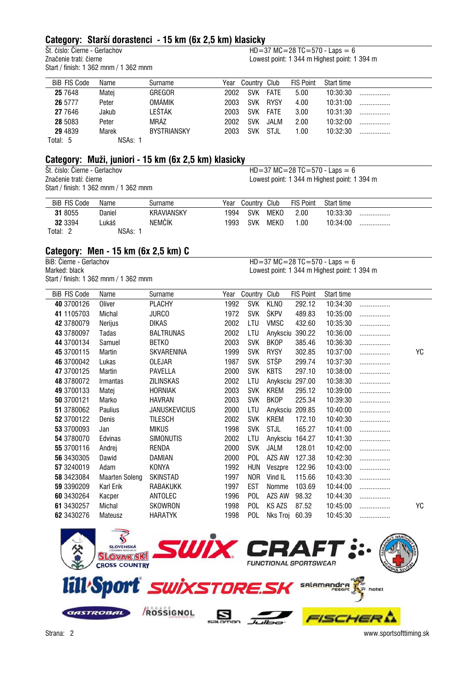## **Category: Starší dorastenci - 15 km (6x 2,5 km) klasicky**

 $\overline{\textrm{St.}}$  číslo: Čierne - Gerlachov **HD=37 MC=28 TC=570 - Laps = 6**<br>Značenie tratí: čierne **HD**=37 MC=28 TC=570 - Laps = 6 Start / finish: 1 362 mnm / 1 362 mnm

Lowest point: 1 344 m Highest point: 1 394 m

| <b>BiB FIS Code</b> | Name    | Surname            | Year | Country    | Club        | <b>FIS Point</b> | Start time |  |
|---------------------|---------|--------------------|------|------------|-------------|------------------|------------|--|
| 25 7 648            | Matei   | <b>GREGOR</b>      | 2002 | <b>SVK</b> | <b>FATE</b> | 5.00             | 10:30:30   |  |
| 26 5777             | Peter   | OMÁMIK             | 2003 | <b>SVK</b> | <b>RYSY</b> | 4.00             | 10:31:00   |  |
| 27 7646             | Jakub   | LEŠTÁK             | 2003 | <b>SVK</b> | <b>FATF</b> | 3.00             | 10:31:30   |  |
| 28 5083             | Peter   | MRÁZ               | 2002 | <b>SVK</b> | JAI M       | 2.00             | 10:32:00   |  |
| 29 4839             | Marek   | <b>BYSTRIANSKY</b> | 2003 | <b>SVK</b> | STJL        | 1.00             | 10:32:30   |  |
| Total: 5            | NSAs: 1 |                    |      |            |             |                  |            |  |

## **Category: Muži, juniori - 15 km (6x 2,5 km) klasicky**

 $\overline{\textrm{St.}}$  číslo: Čierne - Gerlachov **HD=37 MC=28 TC=570 - Laps = 6**<br>Značenie tratí: čierne **HD**=37 MC=28 TC=570 - Laps = 6 Start / finish: 1 362 mnm / 1 362 mnm

Lowest point: 1 344 m Highest point: 1 394 m

| <b>BiB FIS Code</b> | Name   | Surname           | Year | Countrv    | Club        | <b>FIS Point</b> | Start time |  |
|---------------------|--------|-------------------|------|------------|-------------|------------------|------------|--|
| 31 8055             | Daniel | <b>KRAVIANSKY</b> | 1994 | <b>SVK</b> | <b>MEKO</b> | 2.00             | 10:33:30   |  |
| 32 3394             | Lukáš  | NEMČÍK            | 1993 | <b>SVK</b> | <b>MEKO</b> | .00              | 10:34:00   |  |
| Total:              | NSAs:  |                   |      |            |             |                  |            |  |

## **Category: Men - 15 km (6x 2,5 km) C**

Start / finish: 1 362 mnm / 1 362 mnm

```
HD = 37 \text{ MC} = 28 \text{ TC} = 570 \text{ - Laps} = 6Marked: black Lowest point: 1 344 m Highest point: 1 394 m
```

| <b>BiB FIS Code</b> | Name                  | Surname              | Year | Country    | Club        | <b>FIS Point</b> | Start time |   |    |
|---------------------|-----------------------|----------------------|------|------------|-------------|------------------|------------|---|----|
| 40 3700126          | Oliver                | <b>PLACHY</b>        | 1992 | <b>SVK</b> | <b>KLNO</b> | 292.12           | 10:34:30   |   |    |
| 41 1105703          | Michal                | <b>JURCO</b>         | 1972 | <b>SVK</b> | ŠKPV        | 489.83           | 10:35:00   | . |    |
| 42 3780079          | Nerijus               | <b>DIKAS</b>         | 2002 | LTU        | VMSC        | 432.60           | 10:35:30   | . |    |
| 43 3780097          | Tadas                 | <b>BALTRUNAS</b>     | 2002 | LTU        | Anyksciu    | 390.22           | 10:36:00   | . |    |
| 44 3700134          | Samuel                | <b>BETKO</b>         | 2003 | <b>SVK</b> | <b>BKOP</b> | 385.46           | 10:36:30   | . |    |
| 45 3700115          | Martin                | SKVARENINA           | 1999 | <b>SVK</b> | <b>RYSY</b> | 302.85           | 10:37:00   | . | YC |
| 46 3700042          | Lukas                 | OLEJAR               | 1987 | <b>SVK</b> | STŠP        | 299.74           | 10:37:30   | . |    |
| 47 3700125          | Martin                | PAVELLA              | 2000 | <b>SVK</b> | <b>KBTS</b> | 297.10           | 10:38:00   | . |    |
| 48 3780072          | Irmantas              | ZILINSKAS            | 2002 | LTU        | Anyksciu    | 297.00           | 10:38:30   |   |    |
| 49 3700133          | Matej                 | <b>HORNIAK</b>       | 2003 | <b>SVK</b> | <b>KREM</b> | 295.12           | 10:39:00   | . |    |
| 50 3700121          | Marko                 | <b>HAVRAN</b>        | 2003 | <b>SVK</b> | <b>BKOP</b> | 225.34           | 10:39:30   | . |    |
| 51 3780062          | Paulius               | <b>JANUSKEVICIUS</b> | 2000 | LTU        |             | Anyksciu 209.85  | 10:40:00   | . |    |
| 52 3700122          | Denis                 | TILESCH              | 2002 | <b>SVK</b> | <b>KREM</b> | 172.10           | 10:40:30   | . |    |
| 53 3700093          | Jan                   | <b>MIKUS</b>         | 1998 | <b>SVK</b> | STJL        | 165.27           | 10:41:00   | . |    |
| 54 3780070          | Edvinas               | <b>SIMONUTIS</b>     | 2002 | LTU        | Anyksciu    | 164.27           | 10:41:30   | . |    |
| 55 3700116          | Andrej                | RENDA                | 2000 | <b>SVK</b> | JALM        | 128.01           | 10:42:00   |   |    |
| 56 3430305          | Dawid                 | DAMIAN               | 2000 | POL        | AZS AW      | 127.38           | 10:42:30   | . |    |
| 57 3240019          | Adam                  | KONYA                | 1992 | <b>HUN</b> | Veszpre     | 122.96           | 10:43:00   | . |    |
| 58 3423084          | <b>Maarten Soleng</b> | SKINSTAD             | 1997 | <b>NOR</b> | Vind IL     | 115.66           | 10:43:30   | . |    |
| 59 3390209          | Karl Erik             | RABAKUKK             | 1997 | EST        | Nomme       | 103.69           | 10:44:00   | . |    |
| 60 3430264          | Kacper                | ANTOLEC              | 1996 | POL        | AZS AW      | 98.32            | 10:44:30   | . |    |
| 61 3430257          | Michal                | SKOWRON              | 1998 | POL        | KS AZS      | 87.52            | 10:45:00   | . | YC |
| 62 3430276          | Mateusz               | <b>HARATYK</b>       | 1998 | POL        | Nks Troj    | 60.39            | 10:45:30   |   |    |